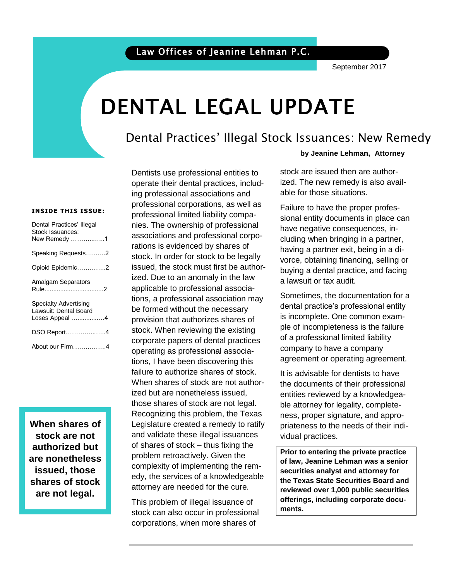September 2017

# DENTAL LEGAL UPDATE

## Dental Practices' Illegal Stock Issuances: New Remedy

#### **INSIDE THIS ISSUE:**

| Dental Practices' Illegal<br>Stock Issuances:<br>New Remedy 1           |
|-------------------------------------------------------------------------|
| Speaking Requests2                                                      |
| Opioid Epidemic2                                                        |
| <b>Amalgam Separators</b><br>Rule2                                      |
| <b>Specialty Advertising</b><br>Lawsuit: Dental Board<br>Loses Appeal 4 |
| DSO Report4                                                             |
| About our Firm4                                                         |

**When shares of stock are not authorized but are nonetheless issued, those shares of stock are not legal.**

Dentists use professional entities to operate their dental practices, including professional associations and professional corporations, as well as professional limited liability companies. The ownership of professional associations and professional corporations is evidenced by shares of stock. In order for stock to be legally issued, the stock must first be authorized. Due to an anomaly in the law applicable to professional associations, a professional association may be formed without the necessary provision that authorizes shares of stock. When reviewing the existing corporate papers of dental practices operating as professional associations, I have been discovering this failure to authorize shares of stock. When shares of stock are not authorized but are nonetheless issued, those shares of stock are not legal. Recognizing this problem, the Texas Legislature created a remedy to ratify and validate these illegal issuances of shares of stock – thus fixing the problem retroactively. Given the complexity of implementing the remedy, the services of a knowledgeable attorney are needed for the cure.

This problem of illegal issuance of stock can also occur in professional corporations, when more shares of

#### **by Jeanine Lehman, Attorney**

ized. The new remedy is also avail-<br>able for those situations. stock are issued then are authorable for those situations.

Failure to have the proper profes-<br>Fainel entity desumente in place can have negative consequences, insional entity documents in place can cluding when bringing in a partner, having a partner exit, being in a divorce, obtaining financing, selling or buying a dental practice, and facing a lawsuit or tax audit.

Sometimes, the documentation for a dental practice's professional entity is incomplete. One common example of incompleteness is the failure of a professional limited liability company to have a company agreement or operating agreement.

It is advisable for dentists to have the documents of their professional entities reviewed by a knowledgeable attorney for legality, completeness, proper signature, and appropriateness to the needs of their individual practices.

 **reviewed over 1,000 public securities Prior to entering the private practice of law, Jeanine Lehman was a senior securities analyst and attorney for the Texas State Securities Board and offerings, including corporate documents.**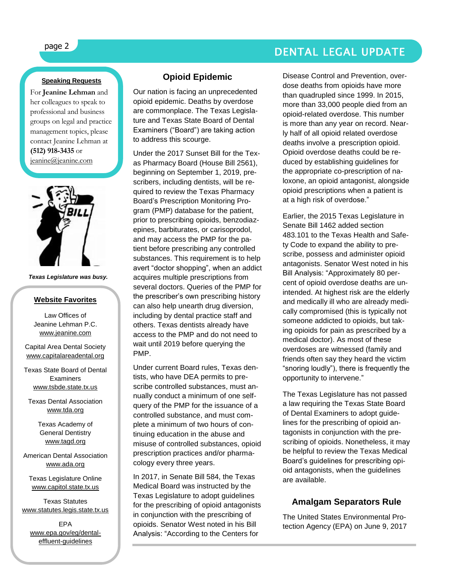# page 2 DENTAL LEGAL UPDATE

ł

#### **Speaking Requests**

For **Jeanine Lehman** and her colleagues to speak to professional and business groups on legal and practice management topics, please contact Jeanine Lehman at **(512) 918-3435** or [jeanine@jeanine.com](mailto:jeanine@jeanine.com)



*Texas Legislature was busy.*

#### **Website Favorites**

Law Offices of Jeanine Lehman P.C. [www.jeanine.com](http://www.jeanine.com/)

Capital Area Dental Society [www.capitalareadental.org](http://www.capitalareadental.org/)

Texas State Board of Dental Examiners [www.tsbde.state.tx.us](http://www.tsbde.state.tx.us/)

Texas Dental Association [www.tda.org](http://www.tda.org/)

> Texas Academy of General Dentistry [www.tagd.org](http://www.tagd.org/)

American Dental Association [www.ada.org](http://www.ada.org/)

Texas Legislature Online [www.capitol.state.tx.us](http://www.capitol.state.tx.us/)

Texas Statutes [www.statutes.legis.state.tx.us](http://www.statutes.legis.state.tx.us/)

EPA [www.epa.gov/eg/dental](http://www.epa.gov/eg/dental-effluent-guidelines)[effluent-guidelines](http://www.epa.gov/eg/dental-effluent-guidelines)

#### **Opioid Epidemic**

Our nation is facing an unprecedented opioid epidemic. Deaths by overdose are commonplace. The Texas Legislature and Texas State Board of Dental Examiners ("Board") are taking action to address this scourge.

Under the 2017 Sunset Bill for the Texas Pharmacy Board (House Bill 2561), beginning on September 1, 2019, prescribers, including dentists, will be required to review the Texas Pharmacy Board's Prescription Monitoring Program (PMP) database for the patient, prior to prescribing opioids, benzodiazepines, barbiturates, or carisoprodol, and may access the PMP for the patient before prescribing any controlled substances. This requirement is to help avert "doctor shopping", when an addict acquires multiple prescriptions from several doctors. Queries of the PMP for the prescriber's own prescribing history can also help unearth drug diversion, including by dental practice staff and others. Texas dentists already have access to the PMP and do not need to wait until 2019 before querying the PMP.

Under current Board rules, Texas dentists, who have DEA permits to prescribe controlled substances, must annually conduct a minimum of one selfquery of the PMP for the issuance of a controlled substance, and must complete a minimum of two hours of continuing education in the abuse and misuse of controlled substances, opioid prescription practices and/or pharmacology every three years.

In 2017, in Senate Bill 584, the Texas Medical Board was instructed by the Texas Legislature to adopt guidelines for the prescribing of opioid antagonists in conjunction with the prescribing of opioids. Senator West noted in his Bill Analysis: "According to the Centers for

Disease Control and Prevention, overdose deaths from opioids have more than quadrupled since 1999. In 2015, more than 33,000 people died from an opioid-related overdose. This number is more than any year on record. Nearly half of all opioid related overdose deaths involve a prescription opioid. Opioid overdose deaths could be reduced by establishing guidelines for the appropriate co-prescription of naloxone, an opioid antagonist, alongside opioid prescriptions when a patient is at a high risk of overdose."

Earlier, the 2015 Texas Legislature in Senate Bill 1462 added section 483.101 to the Texas Health and Safety Code to expand the ability to prescribe, possess and administer opioid antagonists. Senator West noted in his Bill Analysis: "Approximately 80 percent of opioid overdose deaths are unintended. At highest risk are the elderly and medically ill who are already medically compromised (this is typically not someone addicted to opioids, but taking opioids for pain as prescribed by a medical doctor). As most of these overdoses are witnessed (family and friends often say they heard the victim "snoring loudly"), there is frequently the opportunity to intervene."

The Texas Legislature has not passed a law requiring the Texas State Board of Dental Examiners to adopt guidelines for the prescribing of opioid antagonists in conjunction with the prescribing of opioids. Nonetheless, it may be helpful to review the Texas Medical Board's guidelines for prescribing opioid antagonists, when the guidelines are available.

#### **Amalgam Separators Rule**

The United States Environmental Protection Agency (EPA) on June 9, 2017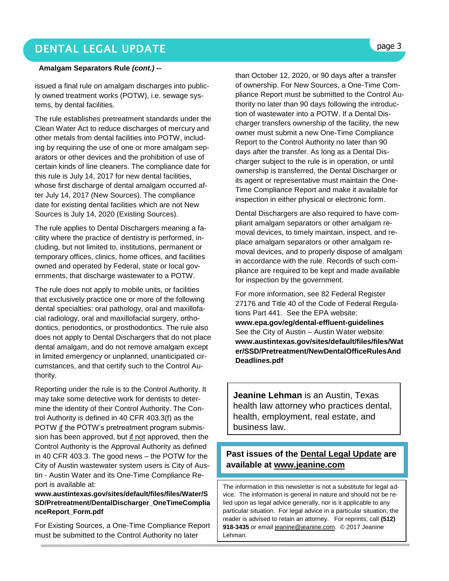# DENTAL LEGAL UPDATE **page 3**

#### **Amalgam Separators Rule** *(cont.) --*

issued a final rule on amalgam discharges into publicly owned treatment works (POTW), i.e. sewage systems, by dental facilities.

The rule establishes pretreatment standards under the Clean Water Act to reduce discharges of mercury and other metals from dental facilities into POTW, including by requiring the use of one or more amalgam separators or other devices and the prohibition of use of certain kinds of line cleaners. The compliance date for this rule is July 14, 2017 for new dental facilities, whose first discharge of dental amalgam occurred after July 14, 2017 (New Sources). The compliance date for existing dental facilities which are not New Sources is July 14, 2020 (Existing Sources).

The rule applies to Dental Dischargers meaning a facility where the practice of dentistry is performed, including, but not limited to, institutions, permanent or temporary offices, clinics, home offices, and facilities owned and operated by Federal, state or local governments, that discharge wastewater to a POTW.

The rule does not apply to mobile units, or facilities that exclusively practice one or more of the following dental specialties: oral pathology, oral and maxillofacial radiology, oral and maxillofacial surgery, orthodontics, periodontics, or prosthodontics. The rule also does not apply to Dental Dischargers that do not place dental amalgam, and do not remove amalgam except in limited emergency or unplanned, unanticipated circumstances, and that certify such to the Control Authority.

Reporting under the rule is to the Control Authority. It may take some detective work for dentists to determine the identity of their Control Authority. The Control Authority is defined in 40 CFR 403.3(f) as the POTW if the POTW's pretreatment program submission has been approved, but if not approved, then the Control Authority is the Approval Authority as defined in 40 CFR 403.3. The good news – the POTW for the City of Austin wastewater system users is City of Austin - Austin Water and its One-Time Compliance Report is available at:

#### **[www.austintexas.gov/sites/default/files/files/Water/S](http://www.austintexas.gov/sites/default/files/files/Water/SSD/Pretreatment/DentalDischarger_OneTimeComplianceReport_Form.pdf) [SD/Pretreatment/DentalDischarger\\_OneTimeComplia](http://www.austintexas.gov/sites/default/files/files/Water/SSD/Pretreatment/DentalDischarger_OneTimeComplianceReport_Form.pdf) [nceReport\\_Form.pdf](http://www.austintexas.gov/sites/default/files/files/Water/SSD/Pretreatment/DentalDischarger_OneTimeComplianceReport_Form.pdf)**

For Existing Sources, a One-Time Compliance Report must be submitted to the Control Authority no later

than October 12, 2020, or 90 days after a transfer of ownership. For New Sources, a One-Time Compliance Report must be submitted to the Control Authority no later than 90 days following the introduction of wastewater into a POTW. If a Dental Discharger transfers ownership of the facility, the new owner must submit a new One-Time Compliance Report to the Control Authority no later than 90 days after the transfer. As long as a Dental Discharger subject to the rule is in operation, or until ownership is transferred, the Dental Discharger or its agent or representative must maintain the One-Time Compliance Report and make it available for inspection in either physical or electronic form.

Dental Dischargers are also required to have compliant amalgam separators or other amalgam removal devices, to timely maintain, inspect, and replace amalgam separators or other amalgam removal devices, and to properly dispose of amalgam in accordance with the rule. Records of such compliance are required to be kept and made available for inspection by the government.

For more information, see 82 Federal Register 27176 and Title 40 of the Code of Federal Regulations Part 441. See the EPA website: **[www.epa.gov/eg/dental-effluent-guidelines](http://www.epa.gov/eg/dental-effluent-guidelines)** See the City of Austin – Austin Water website: **[www.austintexas.gov/sites/default/files/files/Wat](http://www.austintexas.gov/sites/default/files/files/Water/SSD/Pretreatment/NewDentalOfficeRulesAndDeadlines.pdf) [er/SSD/Pretreatment/NewDentalOfficeRulesAnd](http://www.austintexas.gov/sites/default/files/files/Water/SSD/Pretreatment/NewDentalOfficeRulesAndDeadlines.pdf) [Deadlines.pdf](http://www.austintexas.gov/sites/default/files/files/Water/SSD/Pretreatment/NewDentalOfficeRulesAndDeadlines.pdf)**

**Jeanine Lehman** is an Austin, Texas health law attorney who practices dental, health, employment, real estate, and business law.

#### **Past issues of the Dental Legal Update are available at [www.jeanine.com](http://www.jeanine.com/)**

The information in this newsletter is not a substitute for legal advice. The information is general in nature and should not be relied upon as legal advice generally, nor is it applicable to any particular situation. For legal advice in a particular situation, the reader is advised to retain an attorney. For reprints, call **(512) 918-3435** or email [jeanine@jeanine.com.](mailto:jeanine@jeanine.com) © 2017 Jeanine Lehman.